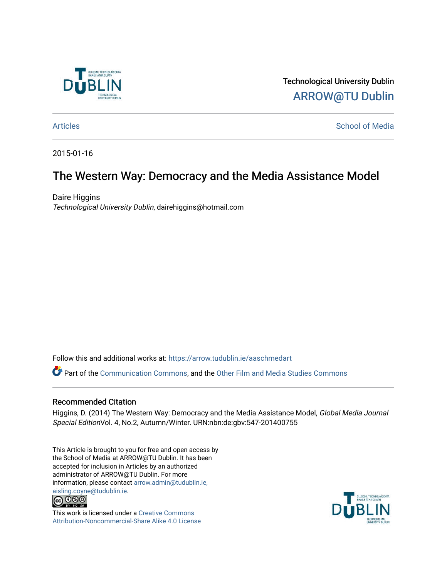

Technological University Dublin [ARROW@TU Dublin](https://arrow.tudublin.ie/) 

[Articles](https://arrow.tudublin.ie/aaschmedart) **School of Media** 

2015-01-16

# The Western Way: Democracy and the Media Assistance Model

Daire Higgins Technological University Dublin, dairehiggins@hotmail.com

Follow this and additional works at: [https://arrow.tudublin.ie/aaschmedart](https://arrow.tudublin.ie/aaschmedart?utm_source=arrow.tudublin.ie%2Faaschmedart%2F86&utm_medium=PDF&utm_campaign=PDFCoverPages) 

Part of the [Communication Commons,](http://network.bepress.com/hgg/discipline/325?utm_source=arrow.tudublin.ie%2Faaschmedart%2F86&utm_medium=PDF&utm_campaign=PDFCoverPages) and the [Other Film and Media Studies Commons](http://network.bepress.com/hgg/discipline/565?utm_source=arrow.tudublin.ie%2Faaschmedart%2F86&utm_medium=PDF&utm_campaign=PDFCoverPages) 

#### Recommended Citation

Higgins, D. (2014) The Western Way: Democracy and the Media Assistance Model, Global Media Journal Special EditionVol. 4, No.2, Autumn/Winter. URN:nbn:de:gbv:547-201400755

This Article is brought to you for free and open access by the School of Media at ARROW@TU Dublin. It has been accepted for inclusion in Articles by an authorized administrator of ARROW@TU Dublin. For more information, please contact [arrow.admin@tudublin.ie,](mailto:arrow.admin@tudublin.ie,%20aisling.coyne@tudublin.ie)  [aisling.coyne@tudublin.ie.](mailto:arrow.admin@tudublin.ie,%20aisling.coyne@tudublin.ie)<br>@060



This work is licensed under a [Creative Commons](http://creativecommons.org/licenses/by-nc-sa/4.0/) [Attribution-Noncommercial-Share Alike 4.0 License](http://creativecommons.org/licenses/by-nc-sa/4.0/)

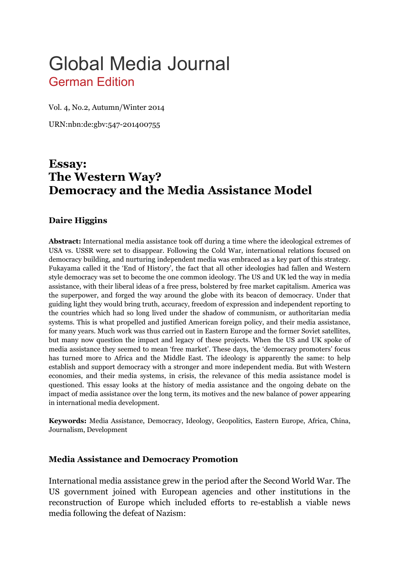# Global Media Journal German Edition

Vol. 4, No.2, Autumn/Winter 2014

URN:nbn:de:gbv:547-201400755

# **Essay: The Western Way? Democracy and the Media Assistance Model**

#### **Daire Higgins**

**Abstract:** International media assistance took off during a time where the ideological extremes of USA vs. USSR were set to disappear. Following the Cold War, international relations focused on democracy building, and nurturing independent media was embraced as a key part of this strategy. Fukayama called it the 'End of History', the fact that all other ideologies had fallen and Western style democracy was set to become the one common ideology. The US and UK led the way in media assistance, with their liberal ideas of a free press, bolstered by free market capitalism. America was the superpower, and forged the way around the globe with its beacon of democracy. Under that guiding light they would bring truth, accuracy, freedom of expression and independent reporting to the countries which had so long lived under the shadow of communism, or authoritarian media systems. This is what propelled and justified American foreign policy, and their media assistance, for many years. Much work was thus carried out in Eastern Europe and the former Soviet satellites, but many now question the impact and legacy of these projects. When the US and UK spoke of media assistance they seemed to mean 'free market'. These days, the 'democracy promoters' focus has turned more to Africa and the Middle East. The ideology is apparently the same: to help establish and support democracy with a stronger and more independent media. But with Western economies, and their media systems, in crisis, the relevance of this media assistance model is questioned. This essay looks at the history of media assistance and the ongoing debate on the impact of media assistance over the long term, its motives and the new balance of power appearing in international media development.

**Keywords:** Media Assistance, Democracy, Ideology, Geopolitics, Eastern Europe, Africa, China, Journalism, Development

#### **Media Assistance and Democracy Promotion**

International media assistance grew in the period after the Second World War. The US government joined with European agencies and other institutions in the reconstruction of Europe which included efforts to re-establish a viable news media following the defeat of Nazism: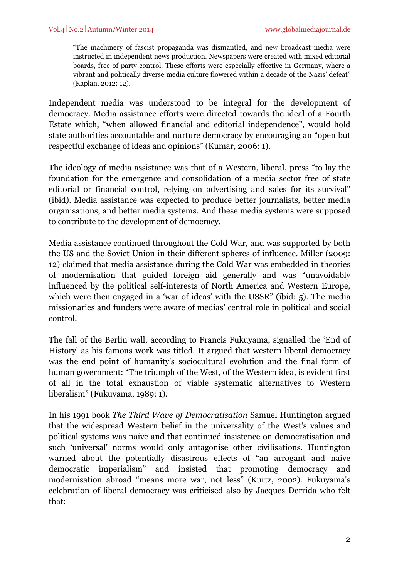"The machinery of fascist propaganda was dismantled, and new broadcast media were instructed in independent news production. Newspapers were created with mixed editorial boards, free of party control. These efforts were especially effective in Germany, where a vibrant and politically diverse media culture flowered within a decade of the Nazis' defeat" (Kaplan, 2012: 12).

Independent media was understood to be integral for the development of democracy. Media assistance efforts were directed towards the ideal of a Fourth Estate which, "when allowed financial and editorial independence", would hold state authorities accountable and nurture democracy by encouraging an "open but respectful exchange of ideas and opinions" (Kumar, 2006: 1).

The ideology of media assistance was that of a Western, liberal, press "to lay the foundation for the emergence and consolidation of a media sector free of state editorial or financial control, relying on advertising and sales for its survival" (ibid). Media assistance was expected to produce better journalists, better media organisations, and better media systems. And these media systems were supposed to contribute to the development of democracy.

Media assistance continued throughout the Cold War, and was supported by both the US and the Soviet Union in their different spheres of influence. Miller (2009: 12) claimed that media assistance during the Cold War was embedded in theories of modernisation that guided foreign aid generally and was "unavoidably influenced by the political self-interests of North America and Western Europe, which were then engaged in a 'war of ideas' with the USSR" (ibid: 5). The media missionaries and funders were aware of medias' central role in political and social control.

The fall of the Berlin wall, according to Francis Fukuyama, signalled the 'End of History' as his famous work was titled. It argued that western liberal democracy was the end point of humanity's sociocultural evolution and the final form of human government: "The triumph of the West, of the Western idea, is evident first of all in the total exhaustion of viable systematic alternatives to Western liberalism" (Fukuyama, 1989: 1).

In his 1991 book *The Third Wave of Democratisation* Samuel Huntington argued that the widespread Western belief in the universality of the West's values and political systems was naïve and that continued insistence on democratisation and such 'universal' norms would only antagonise other civilisations. Huntington warned about the potentially disastrous effects of "an arrogant and naive democratic imperialism" and insisted that promoting democracy and modernisation abroad "means more war, not less" (Kurtz, 2002). Fukuyama's celebration of liberal democracy was criticised also by Jacques Derrida who felt that: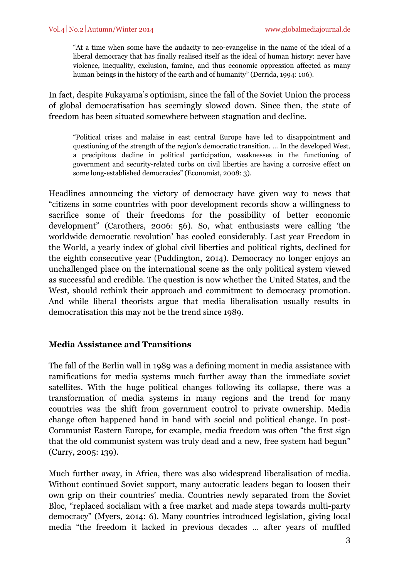"At a time when some have the audacity to neo-evangelise in the name of the ideal of a liberal democracy that has finally realised itself as the ideal of human history: never have violence, inequality, exclusion, famine, and thus economic oppression affected as many human beings in the history of the earth and of humanity" (Derrida, 1994: 106).

In fact, despite Fukayama's optimism, since the fall of the Soviet Union the process of global democratisation has seemingly slowed down. Since then, the state of freedom has been situated somewhere between stagnation and decline.

"Political crises and malaise in east central Europe have led to disappointment and questioning of the strength of the region's democratic transition. … In the developed West, a precipitous decline in political participation, weaknesses in the functioning of government and security-related curbs on civil liberties are having a corrosive effect on some long-established democracies" (Economist, 2008: 3).

Headlines announcing the victory of democracy have given way to news that "citizens in some countries with poor development records show a willingness to sacrifice some of their freedoms for the possibility of better economic development" (Carothers, 2006: 56). So, what enthusiasts were calling 'the worldwide democratic revolution' has cooled considerably. Last year Freedom in the World, a yearly index of global civil liberties and political rights, declined for the eighth consecutive year (Puddington, 2014). Democracy no longer enjoys an unchallenged place on the international scene as the only political system viewed as successful and credible. The question is now whether the United States, and the West, should rethink their approach and commitment to democracy promotion. And while liberal theorists argue that media liberalisation usually results in democratisation this may not be the trend since 1989.

# **Media Assistance and Transitions**

The fall of the Berlin wall in 1989 was a defining moment in media assistance with ramifications for media systems much further away than the immediate soviet satellites. With the huge political changes following its collapse, there was a transformation of media systems in many regions and the trend for many countries was the shift from government control to private ownership. Media change often happened hand in hand with social and political change. In post-Communist Eastern Europe, for example, media freedom was often "the first sign that the old communist system was truly dead and a new, free system had begun" (Curry, 2005: 139).

Much further away, in Africa, there was also widespread liberalisation of media. Without continued Soviet support, many autocratic leaders began to loosen their own grip on their countries' media. Countries newly separated from the Soviet Bloc, "replaced socialism with a free market and made steps towards multi-party democracy" (Myers, 2014: 6). Many countries introduced legislation, giving local media "the freedom it lacked in previous decades … after years of muffled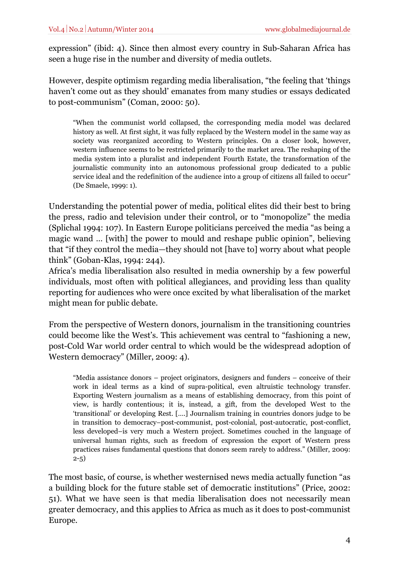expression" (ibid: 4). Since then almost every country in Sub-Saharan Africa has seen a huge rise in the number and diversity of media outlets.

However, despite optimism regarding media liberalisation, "the feeling that 'things haven't come out as they should' emanates from many studies or essays dedicated to post-communism" (Coman, 2000: 50).

"When the communist world collapsed, the corresponding media model was declared history as well. At first sight, it was fully replaced by the Western model in the same way as society was reorganized according to Western principles. On a closer look, however, western influence seems to be restricted primarily to the market area. The reshaping of the media system into a pluralist and independent Fourth Estate, the transformation of the journalistic community into an autonomous professional group dedicated to a public service ideal and the redefinition of the audience into a group of citizens all failed to occur" (De Smaele, 1999: 1).

Understanding the potential power of media, political elites did their best to bring the press, radio and television under their control, or to "monopolize" the media (Splichal 1994: 107). In Eastern Europe politicians perceived the media "as being a magic wand … [with] the power to mould and reshape public opinion", believing that "if they control the media—they should not [have to] worry about what people think" (Goban-Klas, 1994: 244).

Africa's media liberalisation also resulted in media ownership by a few powerful individuals, most often with political allegiances, and providing less than quality reporting for audiences who were once excited by what liberalisation of the market might mean for public debate.

From the perspective of Western donors, journalism in the transitioning countries could become like the West's. This achievement was central to "fashioning a new, post-Cold War world order central to which would be the widespread adoption of Western democracy" (Miller, 2009: 4).

"Media assistance donors – project originators, designers and funders – conceive of their work in ideal terms as a kind of supra-political, even altruistic technology transfer. Exporting Western journalism as a means of establishing democracy, from this point of view, is hardly contentious; it is, instead, a gift, from the developed West to the 'transitional' or developing Rest. [….] Journalism training in countries donors judge to be in transition to democracy–post-communist, post-colonial, post-autocratic, post-conflict, less developed–is very much a Western project. Sometimes couched in the language of universal human rights, such as freedom of expression the export of Western press practices raises fundamental questions that donors seem rarely to address." (Miller, 2009: 2-5)

The most basic, of course, is whether westernised news media actually function "as a building block for the future stable set of democratic institutions" (Price, 2002: 51). What we have seen is that media liberalisation does not necessarily mean greater democracy, and this applies to Africa as much as it does to post-communist Europe.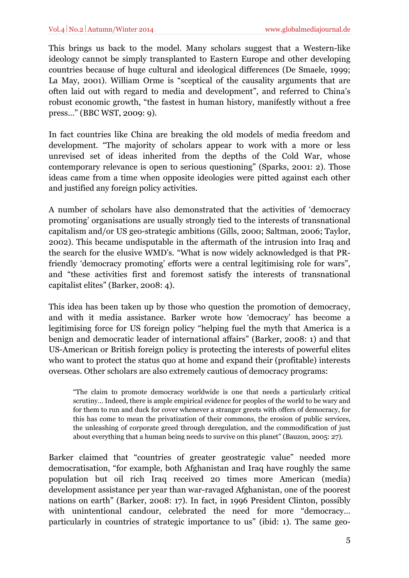This brings us back to the model. Many scholars suggest that a Western-like ideology cannot be simply transplanted to Eastern Europe and other developing countries because of huge cultural and ideological differences (De Smaele, 1999; La May, 2001). William Orme is "sceptical of the causality arguments that are often laid out with regard to media and development", and referred to China's robust economic growth, "the fastest in human history, manifestly without a free press…" (BBC WST, 2009: 9).

In fact countries like China are breaking the old models of media freedom and development. "The majority of scholars appear to work with a more or less unrevised set of ideas inherited from the depths of the Cold War, whose contemporary relevance is open to serious questioning" (Sparks, 2001: 2). Those ideas came from a time when opposite ideologies were pitted against each other and justified any foreign policy activities.

A number of scholars have also demonstrated that the activities of 'democracy promoting' organisations are usually strongly tied to the interests of transnational capitalism and/or US geo-strategic ambitions (Gills, 2000; Saltman, 2006; Taylor, 2002). This became undisputable in the aftermath of the intrusion into Iraq and the search for the elusive WMD's. "What is now widely acknowledged is that PRfriendly 'democracy promoting' efforts were a central legitimising role for wars", and "these activities first and foremost satisfy the interests of transnational capitalist elites" (Barker, 2008: 4).

This idea has been taken up by those who question the promotion of democracy, and with it media assistance. Barker wrote how 'democracy' has become a legitimising force for US foreign policy "helping fuel the myth that America is a benign and democratic leader of international affairs" (Barker, 2008: 1) and that US-American or British foreign policy is protecting the interests of powerful elites who want to protect the status quo at home and expand their (profitable) interests overseas. Other scholars are also extremely cautious of democracy programs:

"The claim to promote democracy worldwide is one that needs a particularly critical scrutiny… Indeed, there is ample empirical evidence for peoples of the world to be wary and for them to run and duck for cover whenever a stranger greets with offers of democracy, for this has come to mean the privatization of their commons, the erosion of public services, the unleashing of corporate greed through deregulation, and the commodification of just about everything that a human being needs to survive on this planet" (Bauzon, 2005: 27).

Barker claimed that "countries of greater geostrategic value" needed more democratisation, "for example, both Afghanistan and Iraq have roughly the same population but oil rich Iraq received 20 times more American (media) development assistance per year than war-ravaged Afghanistan, one of the poorest nations on earth" (Barker, 2008: 17). In fact, in 1996 President Clinton, possibly with unintentional candour, celebrated the need for more "democracy… particularly in countries of strategic importance to us" (ibid: 1). The same geo-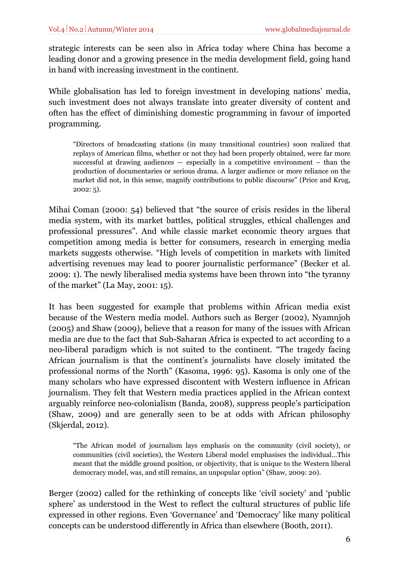strategic interests can be seen also in Africa today where China has become a leading donor and a growing presence in the media development field, going hand in hand with increasing investment in the continent.

While globalisation has led to foreign investment in developing nations' media, such investment does not always translate into greater diversity of content and often has the effect of diminishing domestic programming in favour of imported programming.

"Directors of broadcasting stations (in many transitional countries) soon realized that replays of American films, whether or not they had been properly obtained, were far more successful at drawing audiences — especially in a competitive environment – than the production of documentaries or serious drama. A larger audience or more reliance on the market did not, in this sense, magnify contributions to public discourse" (Price and Krug, 2002: 5).

Mihai Coman (2000: 54) believed that "the source of crisis resides in the liberal media system, with its market battles, political struggles, ethical challenges and professional pressures". And while classic market economic theory argues that competition among media is better for consumers, research in emerging media markets suggests otherwise. "High levels of competition in markets with limited advertising revenues may lead to poorer journalistic performance" (Becker et al. 2009: 1). The newly liberalised media systems have been thrown into "the tyranny of the market" (La May, 2001: 15).

It has been suggested for example that problems within African media exist because of the Western media model. Authors such as Berger (2002), Nyamnjoh (2005) and Shaw (2009), believe that a reason for many of the issues with African media are due to the fact that Sub-Saharan Africa is expected to act according to a neo-liberal paradigm which is not suited to the continent. "The tragedy facing African journalism is that the continent's journalists have closely imitated the professional norms of the North" (Kasoma, 1996: 95). Kasoma is only one of the many scholars who have expressed discontent with Western influence in African journalism. They felt that Western media practices applied in the African context arguably reinforce neo-colonialism (Banda, 2008), suppress people's participation (Shaw, 2009) and are generally seen to be at odds with African philosophy (Skjerdal, 2012).

"The African model of journalism lays emphasis on the community (civil society), or communities (civil societies), the Western Liberal model emphasises the individual…This meant that the middle ground position, or objectivity, that is unique to the Western liberal democracy model, was, and still remains, an unpopular option" (Shaw, 2009: 20).

Berger (2002) called for the rethinking of concepts like 'civil society' and 'public sphere' as understood in the West to reflect the cultural structures of public life expressed in other regions. Even 'Governance' and 'Democracy' like many political concepts can be understood differently in Africa than elsewhere (Booth, 2011).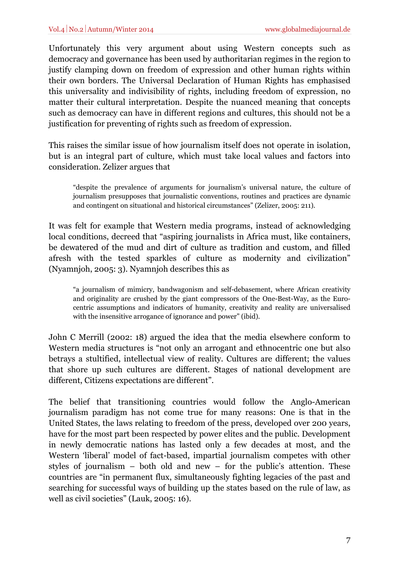Unfortunately this very argument about using Western concepts such as democracy and governance has been used by authoritarian regimes in the region to justify clamping down on freedom of expression and other human rights within their own borders. The Universal Declaration of Human Rights has emphasised this universality and indivisibility of rights, including freedom of expression, no matter their cultural interpretation. Despite the nuanced meaning that concepts such as democracy can have in different regions and cultures, this should not be a justification for preventing of rights such as freedom of expression.

This raises the similar issue of how journalism itself does not operate in isolation, but is an integral part of culture, which must take local values and factors into consideration. Zelizer argues that

"despite the prevalence of arguments for journalism's universal nature, the culture of journalism presupposes that journalistic conventions, routines and practices are dynamic and contingent on situational and historical circumstances" (Zelizer, 2005: 211).

It was felt for example that Western media programs, instead of acknowledging local conditions, decreed that "aspiring journalists in Africa must, like containers, be dewatered of the mud and dirt of culture as tradition and custom, and filled afresh with the tested sparkles of culture as modernity and civilization" (Nyamnjoh, 2005: 3). Nyamnjoh describes this as

"a journalism of mimicry, bandwagonism and self-debasement, where African creativity and originality are crushed by the giant compressors of the One-Best-Way, as the Eurocentric assumptions and indicators of humanity, creativity and reality are universalised with the insensitive arrogance of ignorance and power" (ibid).

John C Merrill (2002: 18) argued the idea that the media elsewhere conform to Western media structures is "not only an arrogant and ethnocentric one but also betrays a stultified, intellectual view of reality. Cultures are different; the values that shore up such cultures are different. Stages of national development are different, Citizens expectations are different".

The belief that transitioning countries would follow the Anglo-American journalism paradigm has not come true for many reasons: One is that in the United States, the laws relating to freedom of the press, developed over 200 years, have for the most part been respected by power elites and the public. Development in newly democratic nations has lasted only a few decades at most, and the Western 'liberal' model of fact-based, impartial journalism competes with other styles of journalism – both old and new – for the public's attention. These countries are "in permanent flux, simultaneously fighting legacies of the past and searching for successful ways of building up the states based on the rule of law, as well as civil societies" (Lauk, 2005: 16).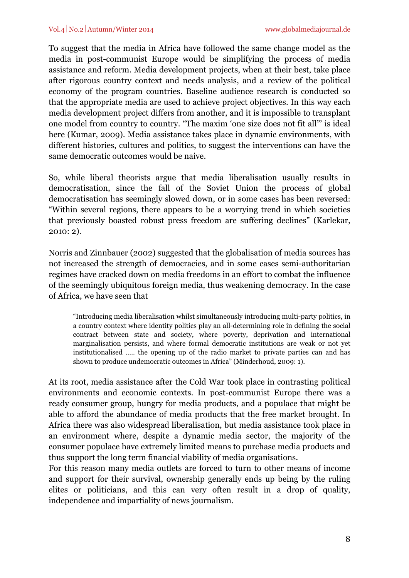To suggest that the media in Africa have followed the same change model as the media in post-communist Europe would be simplifying the process of media assistance and reform. Media development projects, when at their best, take place after rigorous country context and needs analysis, and a review of the political economy of the program countries. Baseline audience research is conducted so that the appropriate media are used to achieve project objectives. In this way each media development project differs from another, and it is impossible to transplant one model from country to country. "The maxim 'one size does not fit all"' is ideal here (Kumar, 2009). Media assistance takes place in dynamic environments, with different histories, cultures and politics, to suggest the interventions can have the same democratic outcomes would be naive.

So, while liberal theorists argue that media liberalisation usually results in democratisation, since the fall of the Soviet Union the process of global democratisation has seemingly slowed down, or in some cases has been reversed: "Within several regions, there appears to be a worrying trend in which societies that previously boasted robust press freedom are suffering declines" (Karlekar, 2010: 2).

Norris and Zinnbauer (2002) suggested that the globalisation of media sources has not increased the strength of democracies, and in some cases semi-authoritarian regimes have cracked down on media freedoms in an effort to combat the influence of the seemingly ubiquitous foreign media, thus weakening democracy. In the case of Africa, we have seen that

"Introducing media liberalisation whilst simultaneously introducing multi-party politics, in a country context where identity politics play an all-determining role in defining the social contract between state and society, where poverty, deprivation and international marginalisation persists, and where formal democratic institutions are weak or not yet institutionalised ….. the opening up of the radio market to private parties can and has shown to produce undemocratic outcomes in Africa" (Minderhoud, 2009: 1).

At its root, media assistance after the Cold War took place in contrasting political environments and economic contexts. In post-communist Europe there was a ready consumer group, hungry for media products, and a populace that might be able to afford the abundance of media products that the free market brought. In Africa there was also widespread liberalisation, but media assistance took place in an environment where, despite a dynamic media sector, the majority of the consumer populace have extremely limited means to purchase media products and thus support the long term financial viability of media organisations.

For this reason many media outlets are forced to turn to other means of income and support for their survival, ownership generally ends up being by the ruling elites or politicians, and this can very often result in a drop of quality, independence and impartiality of news journalism.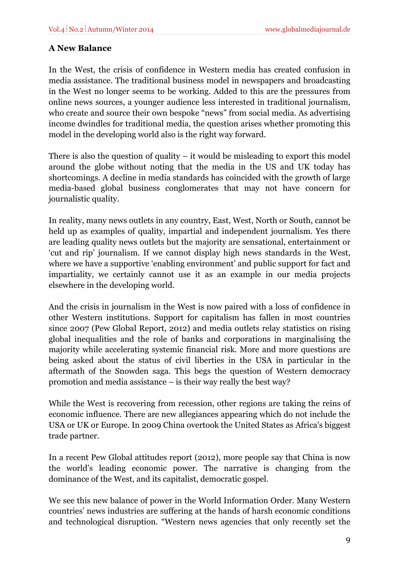## **A New Balance**

In the West, the crisis of confidence in Western media has created confusion in media assistance. The traditional business model in newspapers and broadcasting in the West no longer seems to be working. Added to this are the pressures from online news sources, a younger audience less interested in traditional journalism, who create and source their own bespoke "news" from social media. As advertising income dwindles for traditional media, the question arises whether promoting this model in the developing world also is the right way forward.

There is also the question of quality  $-$  it would be misleading to export this model around the globe without noting that the media in the US and UK today has shortcomings. A decline in media standards has coincided with the growth of large media-based global business conglomerates that may not have concern for journalistic quality.

In reality, many news outlets in any country, East, West, North or South, cannot be held up as examples of quality, impartial and independent journalism. Yes there are leading quality news outlets but the majority are sensational, entertainment or 'cut and rip' journalism. If we cannot display high news standards in the West, where we have a supportive 'enabling environment' and public support for fact and impartiality, we certainly cannot use it as an example in our media projects elsewhere in the developing world.

And the crisis in journalism in the West is now paired with a loss of confidence in other Western institutions. Support for capitalism has fallen in most countries since 2007 (Pew Global Report, 2012) and media outlets relay statistics on rising global inequalities and the role of banks and corporations in marginalising the majority while accelerating systemic financial risk. More and more questions are being asked about the status of civil liberties in the USA in particular in the aftermath of the Snowden saga. This begs the question of Western democracy promotion and media assistance – is their way really the best way?

While the West is recovering from recession, other regions are taking the reins of economic influence. There are new allegiances appearing which do not include the USA or UK or Europe. In 2009 China overtook the United States as Africa's biggest trade partner.

In a recent Pew Global attitudes report (2012), more people say that China is now the world's leading economic power. The narrative is changing from the dominance of the West, and its capitalist, democratic gospel.

We see this new balance of power in the World Information Order. Many Western countries' news industries are suffering at the hands of harsh economic conditions and technological disruption. "Western news agencies that only recently set the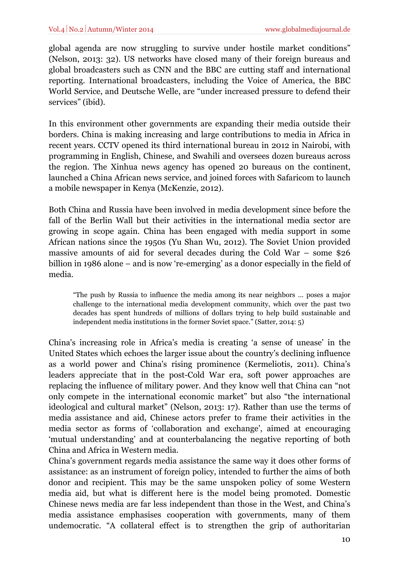global agenda are now struggling to survive under hostile market conditions" (Nelson, 2013: 32). US networks have closed many of their foreign bureaus and global broadcasters such as CNN and the BBC are cutting staff and international reporting. International broadcasters, including the Voice of America, the BBC World Service, and Deutsche Welle, are "under increased pressure to defend their services" (ibid).

In this environment other governments are expanding their media outside their borders. China is making increasing and large contributions to media in Africa in recent years. CCTV opened its third international bureau in 2012 in Nairobi, with programming in English, Chinese, and Swahili and oversees dozen bureaus across the region. The Xinhua news agency has opened 20 bureaus on the continent, launched a China African news service, and joined forces with Safaricom to launch a mobile newspaper in Kenya (McKenzie, 2012).

Both China and Russia have been involved in media development since before the fall of the Berlin Wall but their activities in the international media sector are growing in scope again. China has been engaged with media support in some African nations since the 1950s (Yu Shan Wu, 2012). The Soviet Union provided massive amounts of aid for several decades during the Cold War – some \$26 billion in 1986 alone – and is now 're-emerging' as a donor especially in the field of media.

"The push by Russia to influence the media among its near neighbors … poses a major challenge to the international media development community, which over the past two decades has spent hundreds of millions of dollars trying to help build sustainable and independent media institutions in the former Soviet space." (Satter, 2014: 5)

China's increasing role in Africa's media is creating 'a sense of unease' in the United States which echoes the larger issue about the country's declining influence as a world power and China's rising prominence (Kermeliotis, 2011). China's leaders appreciate that in the post-Cold War era, soft power approaches are replacing the influence of military power. And they know well that China can "not only compete in the international economic market" but also "the international ideological and cultural market" (Nelson, 2013: 17). Rather than use the terms of media assistance and aid, Chinese actors prefer to frame their activities in the media sector as forms of 'collaboration and exchange', aimed at encouraging 'mutual understanding' and at counterbalancing the negative reporting of both China and Africa in Western media.

China's government regards media assistance the same way it does other forms of assistance: as an instrument of foreign policy, intended to further the aims of both donor and recipient. This may be the same unspoken policy of some Western media aid, but what is different here is the model being promoted. Domestic Chinese news media are far less independent than those in the West, and China's media assistance emphasises cooperation with governments, many of them undemocratic. "A collateral effect is to strengthen the grip of authoritarian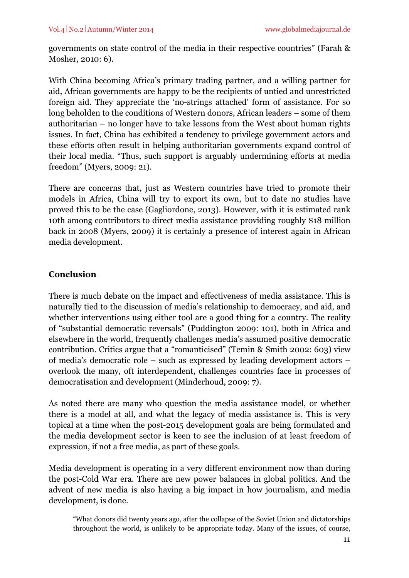governments on state control of the media in their respective countries" (Farah & Mosher, 2010: 6).

With China becoming Africa's primary trading partner, and a willing partner for aid, African governments are happy to be the recipients of untied and unrestricted foreign aid. They appreciate the 'no-strings attached' form of assistance. For so long beholden to the conditions of Western donors, African leaders – some of them authoritarian – no longer have to take lessons from the West about human rights issues. In fact, China has exhibited a tendency to privilege government actors and these efforts often result in helping authoritarian governments expand control of their local media. "Thus, such support is arguably undermining efforts at media freedom" (Myers, 2009: 21).

There are concerns that, just as Western countries have tried to promote their models in Africa, China will try to export its own, but to date no studies have proved this to be the case (Gagliordone, 2013). However, with it is estimated rank 10th among contributors to direct media assistance providing roughly \$18 million back in 2008 (Myers, 2009) it is certainly a presence of interest again in African media development.

## **Conclusion**

There is much debate on the impact and effectiveness of media assistance. This is naturally tied to the discussion of media's relationship to democracy, and aid, and whether interventions using either tool are a good thing for a country. The reality of "substantial democratic reversals" (Puddington 2009: 101), both in Africa and elsewhere in the world, frequently challenges media's assumed positive democratic contribution. Critics argue that a "romanticised" (Temin & Smith 2002: 603) view of media's democratic role – such as expressed by leading development actors – overlook the many, oft interdependent, challenges countries face in processes of democratisation and development (Minderhoud, 2009: 7).

As noted there are many who question the media assistance model, or whether there is a model at all, and what the legacy of media assistance is. This is very topical at a time when the post-2015 development goals are being formulated and the media development sector is keen to see the inclusion of at least freedom of expression, if not a free media, as part of these goals.

Media development is operating in a very different environment now than during the post-Cold War era. There are new power balances in global politics. And the advent of new media is also having a big impact in how journalism, and media development, is done.

<sup>&</sup>quot;What donors did twenty years ago, after the collapse of the Soviet Union and dictatorships throughout the world, is unlikely to be appropriate today. Many of the issues, of course,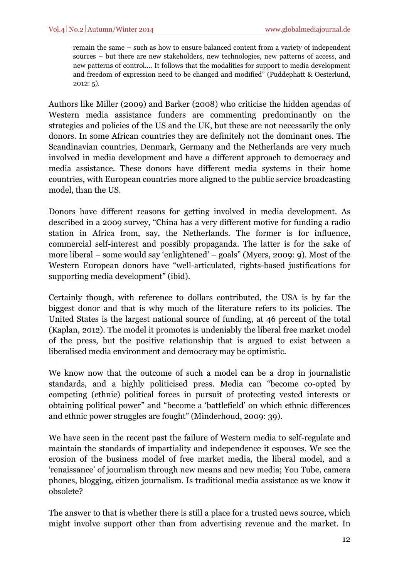remain the same – such as how to ensure balanced content from a variety of independent sources – but there are new stakeholders, new technologies, new patterns of access, and new patterns of control.... It follows that the modalities for support to media development and freedom of expression need to be changed and modified" (Puddephatt & Oesterlund, 2012: 5).

Authors like Miller (2009) and Barker (2008) who criticise the hidden agendas of Western media assistance funders are commenting predominantly on the strategies and policies of the US and the UK, but these are not necessarily the only donors. In some African countries they are definitely not the dominant ones. The Scandinavian countries, Denmark, Germany and the Netherlands are very much involved in media development and have a different approach to democracy and media assistance. These donors have different media systems in their home countries, with European countries more aligned to the public service broadcasting model, than the US.

Donors have different reasons for getting involved in media development. As described in a 2009 survey, "China has a very different motive for funding a radio station in Africa from, say, the Netherlands. The former is for influence, commercial self-interest and possibly propaganda. The latter is for the sake of more liberal – some would say 'enlightened' – goals" (Myers, 2009: 9). Most of the Western European donors have "well-articulated, rights-based justifications for supporting media development" (ibid).

Certainly though, with reference to dollars contributed, the USA is by far the biggest donor and that is why much of the literature refers to its policies. The United States is the largest national source of funding, at 46 percent of the total (Kaplan, 2012). The model it promotes is undeniably the liberal free market model of the press, but the positive relationship that is argued to exist between a liberalised media environment and democracy may be optimistic.

We know now that the outcome of such a model can be a drop in journalistic standards, and a highly politicised press. Media can "become co-opted by competing (ethnic) political forces in pursuit of protecting vested interests or obtaining political power" and "become a 'battlefield' on which ethnic differences and ethnic power struggles are fought" (Minderhoud, 2009: 39).

We have seen in the recent past the failure of Western media to self-regulate and maintain the standards of impartiality and independence it espouses. We see the erosion of the business model of free market media, the liberal model, and a 'renaissance' of journalism through new means and new media; You Tube, camera phones, blogging, citizen journalism. Is traditional media assistance as we know it obsolete?

The answer to that is whether there is still a place for a trusted news source, which might involve support other than from advertising revenue and the market. In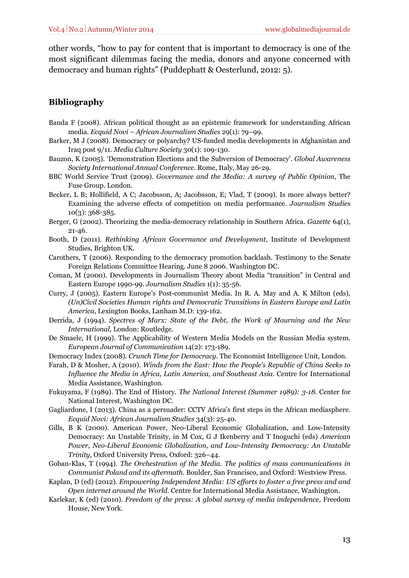other words, "how to pay for content that is important to democracy is one of the most significant dilemmas facing the media, donors and anyone concerned with democracy and human rights" (Puddephatt & Oesterlund, 2012: 5).

## **Bibliography**

- Banda F (2008). African political thought as an epistemic framework for understanding African media. *Ecquid Novi – African Journalism Studies* 29(1): 79–99.
- Barker, M J (2008). Democracy or polyarchy? US-funded media developments in Afghanistan and Iraq post 9/11. *Media Culture Society* 30(1): 109-130.
- Bauzon, K (2005). 'Demonstration Elections and the Subversion of Democracy'. *Global Awareness Society International Annual Conference*. Rome, Italy, May 26-29.
- BBC World Service Trust (2009). *Governance and the Media: A survey of Public Opinion*, The Fuse Group. London.
- Becker, L B; Hollifield, A C; Jacobsson, A; Jacobsson, E; Vlad, T (2009). Is more always better? Examining the adverse effects of competition on media performance. *Journalism Studies* 10(3): 368-385.
- Berger, G (2002). Theorizing the media-democracy relationship in Southern Africa. *Gazette* 64(1), 21-46.
- Booth, D (2011). *Rethinking African Governance and Development*, Institute of Development Studies, Brighton UK.
- Carothers, T (2006). Responding to the democracy promotion backlash. Testimony to the Senate Foreign Relations Committee Hearing. June 8 2006. Washington DC.
- Coman, M (2000). Developments in Journalism Theory about Media "transition" in Central and Eastern Europe 1990-99. *Journalism Studies* 1(1): 35-56.
- Curry, J (2005). Eastern Europe's Post-communist Media. In R. A. May and A. K Milton (eds), *(Un)Civil Societies Human rights and Democratic Transitions in Eastern Europe and Latin America*, Lexington Books, Lanham M.D: 139-162.
- Derrida, J (1994). *Spectres of Marx: State of the Debt, the Work of Mourning and the New International*, London: Routledge.
- De Smaele, H (1999). The Applicability of Western Media Models on the Russian Media system. *European Journal of Communication* 14(2): 173-189.
- Democracy Index (2008). *Crunch Time for Democracy*. The Economist Intelligence Unit, London.
- Farah, D & Mosher, A (2010). *Winds from the East: How the People's Republic of China Seeks to Influence the Media in Africa, Latin America, and Southeast Asia*. Centre for International Media Assistance, Washington.
- Fukuyama, F (1989). The End of History*. The National Interest (Summer 1989): 3-18.* Center for National Interest, Washington DC.
- Gagliardone, I (2013). China as a persuader: CCTV Africa's first steps in the African mediasphere. *Ecquid Novi: African Journalism Studies* 34(3): 25-40.
- Gills, B K (2000). American Power, Neo-Liberal Economic Globalization, and Low-Intensity Democracy: An Unstable Trinity, in M Cox, G J Ikenberry and T Inoguchi (eds) *American Power, Neo-Liberal Economic Globalization, and Low-Intensity Democracy: An Unstable Trinity*, Oxford University Press, Oxford: 326–44.
- Goban-Klas, T (1994). *The Orchestration of the Media. The politics of mass communications in Communist Poland and its aftermath*. Boulder, San Francisco, and Oxford: Westview Press.
- Kaplan, D (ed) (2012). *Empowering Independent Media: US efforts to foster a free press and and Open internet around the World*. Centre for International Media Assistance, Washington.
- Karlekar, K (ed) (2010). *Freedom of the press: A global survey of media independence,* Freedom House, New York.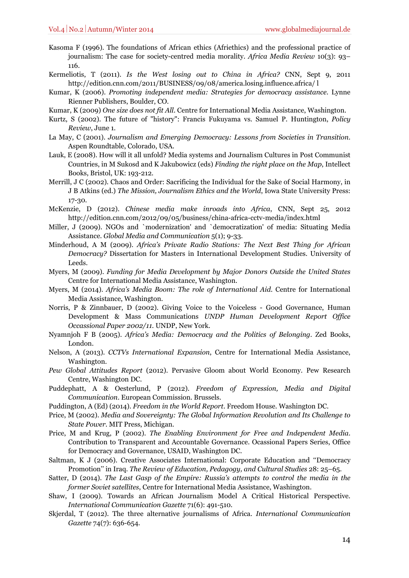- Kasoma F (1996). The foundations of African ethics (Afriethics) and the professional practice of journalism: The case for society-centred media morality. *Africa Media Review* 10(3): 93– 116.
- Kermeliotis, T (2011). *Is the West losing out to China in Africa?* CNN, Sept 9, 2011 http://edition.cnn.com/2011/BUSINESS/09/08/america.losing.influence.africa/ l
- Kumar, K (2006). *Promoting independent media: Strategies for democracy assistance*. Lynne Rienner Publishers, Boulder, CO.
- Kumar, K (2009) *One size does not fit All*. Centre for International Media Assistance, Washington.
- Kurtz, S (2002). The future of "history": Francis Fukuyama vs. Samuel P. Huntington, *Policy Review*, June 1.
- La May, C (2001). *Journalism and Emerging Democracy: Lessons from Societies in Transition*. Aspen Roundtable, Colorado, USA.
- Lauk, E (2008). How will it all unfold? Media systems and Journalism Cultures in Post Communist Countries, in M Sukosd and K Jakubowicz (eds) *Finding the right place on the Map*, Intellect Books, Bristol, UK: 193-212.
- Merrill, J C (2002). Chaos and Order: Sacrificing the Individual for the Sake of Social Harmony, in J B Atkins (ed.) *The Mission, Journalism Ethics and the World*, Iowa State University Press: 17-30.
- McKenzie, D (2012). *Chinese media make inroads into Africa*, CNN, Sept 25, 2012 http://edition.cnn.com/2012/09/05/business/china-africa-cctv-media/index.html
- Miller, J (2009). NGOs and `modernization' and `democratization' of media: Situating Media Assistance. *Global Media and Communication* 5(1); 9-33.
- Minderhoud, A M (2009). *Africa's Private Radio Stations: The Next Best Thing for African Democracy?* Dissertation for Masters in International Development Studies. University of Leeds.
- Myers, M (2009). *Funding for Media Development by Major Donors Outside the United States* Centre for International Media Assistance, Washington.
- Myers, M (2014). *Africa's Media Boom: The role of International Aid.* Centre for International Media Assistance, Washington.
- Norris, P & Zinnbauer, D (2002). Giving Voice to the Voiceless Good Governance, Human Development & Mass Communications *UNDP Human Development Report Office Occassional Paper 2002/11.* UNDP, New York.
- Nyamnjoh F B (2005). *Africa's Media: Democracy and the Politics of Belonging*. Zed Books, London.
- Nelson, A (2013). *CCTVs International Expansion*, Centre for International Media Assistance, Washington.
- *Pew Global Attitudes Report* (2012). Pervasive Gloom about World Economy. Pew Research Centre, Washington DC.
- Puddephatt, A & Oesterlund, P (2012). *Freedom of Expression, Media and Digital Communication*. European Commission. Brussels.
- Puddington, A (Ed) (2014). *Freedom in the World Report*. Freedom House. Washington DC.
- Price, M (2002). *Media and Sovereignty: The Global Information Revolution and Its Challenge to State Power.* MIT Press, Michigan.
- Price, M and Krug, P (2002). *The Enabling Environment for Free and Independent Media*. Contribution to Transparent and Accountable Governance. Ocassional Papers Series, Office for Democracy and Governance, USAID, Washington DC.
- Saltman, K J (2006). Creative Associates International: Corporate Education and ''Democracy Promotion'' in Iraq. *The Review of Education, Pedagogy, and Cultural Studies* 28: 25–65.
- Satter, D (2014). *The Last Gasp of the Empire: Russia's attempts to control the media in the former Soviet satellites*, Centre for International Media Assistance, Washington.
- Shaw, I (2009). Towards an African Journalism Model A Critical Historical Perspective. *International Communication Gazette* 71(6): 491-510.
- Skjerdal, T (2012). The three alternative journalisms of Africa. *International Communication Gazette* 74(7): 636-654*.*